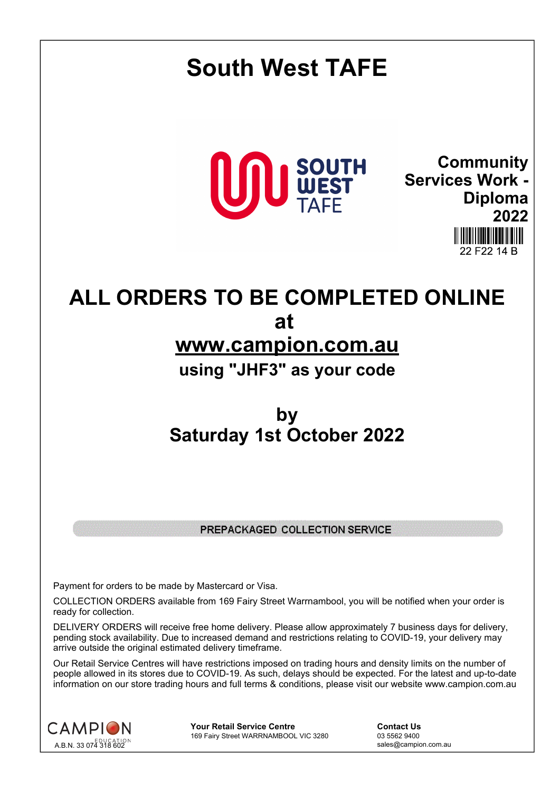# **South West TAFE Community SOUTH<br>WEST Services Work - Diploma 2022** 22 F22 14 B **ALL ORDERS TO BE COMPLETED ONLINE at www.campion.com.au using "JHF3" as your code by Saturday 1st October 2022**

# PREPACKAGED COLLECTION SERVICE

Payment for orders to be made by Mastercard or Visa.

COLLECTION ORDERS available from 169 Fairy Street Warrnambool, you will be notified when your order is ready for collection.

DELIVERY ORDERS will receive free home delivery. Please allow approximately 7 business days for delivery, pending stock availability. Due to increased demand and restrictions relating to COVID-19, your delivery may arrive outside the original estimated delivery timeframe.

Our Retail Service Centres will have restrictions imposed on trading hours and density limits on the number of people allowed in its stores due to COVID-19. As such, delays should be expected. For the latest and up-to-date information on our store trading hours and full terms & conditions, please visit our website www.campion.com.au



**Your Retail Service Centre Contact Us** 169 Fairy Street WARRNAMBOOL VIC 3280

sales@campion.com.au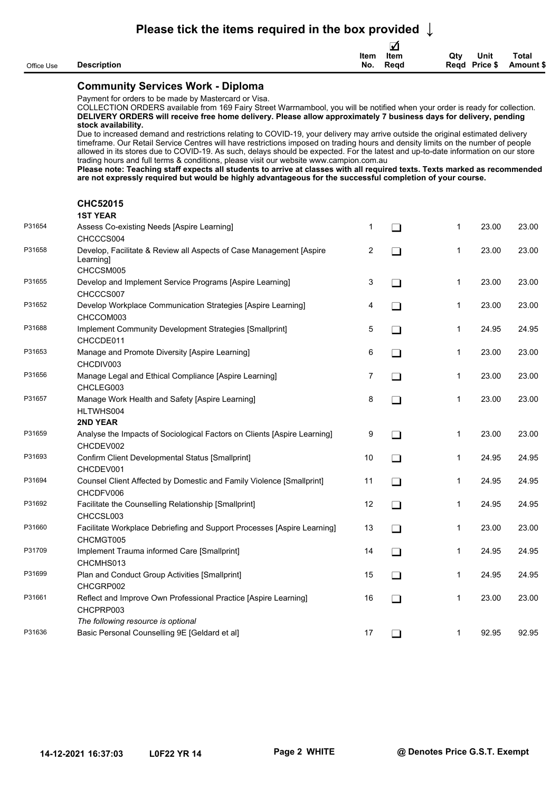## **Please tick the items required in the box provided ↓**

| <b>Total</b><br>Qty<br><b>Unit</b><br>Item<br>Item<br>No.<br>Read<br>Regd<br>Price \$<br><b>Description</b><br>Amount \$ |            |  | ⊻ |  |  |
|--------------------------------------------------------------------------------------------------------------------------|------------|--|---|--|--|
|                                                                                                                          |            |  |   |  |  |
|                                                                                                                          | Office Use |  |   |  |  |

### **Community Services Work - Diploma**

Payment for orders to be made by Mastercard or Visa.

COLLECTION ORDERS available from 169 Fairy Street Warrnambool, you will be notified when your order is ready for collection. **DELIVERY ORDERS will receive free home delivery. Please allow approximately 7 business days for delivery, pending stock availability.**

Due to increased demand and restrictions relating to COVID-19, your delivery may arrive outside the original estimated delivery timeframe. Our Retail Service Centres will have restrictions imposed on trading hours and density limits on the number of people allowed in its stores due to COVID-19. As such, delays should be expected. For the latest and up-to-date information on our store trading hours and full terms & conditions, please visit our website www.campion.com.au

**Please note: Teaching staff expects all students to arrive at classes with all required texts. Texts marked as recommended are not expressly required but would be highly advantageous for the successful completion of your course.**

#### **CHC52015**

| <b>1ST YEAR</b> |  |  |
|-----------------|--|--|
|-----------------|--|--|

| P31654 | Assess Co-existing Needs [Aspire Learning]                                       | 1  | l 1    | 1 | 23.00 | 23.00 |
|--------|----------------------------------------------------------------------------------|----|--------|---|-------|-------|
|        | CHCCCS004                                                                        |    |        |   |       |       |
| P31658 | Develop, Facilitate & Review all Aspects of Case Management [Aspire<br>Learning] | 2  | $\Box$ | 1 | 23.00 | 23.00 |
|        | CHCCSM005                                                                        |    |        |   |       |       |
| P31655 | Develop and Implement Service Programs [Aspire Learning]                         | 3  | $\Box$ | 1 | 23.00 | 23.00 |
|        | CHCCCS007                                                                        |    |        |   |       |       |
| P31652 | Develop Workplace Communication Strategies [Aspire Learning]                     | 4  | $\Box$ | 1 | 23.00 | 23.00 |
|        | CHCCOM003                                                                        |    |        |   |       |       |
| P31688 | Implement Community Development Strategies [Smallprint]<br>CHCCDE011             | 5  | $\Box$ | 1 | 24.95 | 24.95 |
| P31653 | Manage and Promote Diversity [Aspire Learning]                                   | 6  | $\Box$ | 1 | 23.00 | 23.00 |
|        | CHCDIV003                                                                        |    |        |   |       |       |
| P31656 | Manage Legal and Ethical Compliance [Aspire Learning]                            | 7  | $\Box$ | 1 | 23.00 | 23.00 |
|        | CHCLEG003                                                                        |    |        |   |       |       |
| P31657 | Manage Work Health and Safety [Aspire Learning]                                  | 8  | $\Box$ | 1 | 23.00 | 23.00 |
|        | HLTWHS004                                                                        |    |        |   |       |       |
|        | 2ND YEAR                                                                         |    |        |   |       |       |
| P31659 | Analyse the Impacts of Sociological Factors on Clients [Aspire Learning]         | 9  | $\Box$ | 1 | 23.00 | 23.00 |
|        | CHCDEV002                                                                        |    |        |   |       |       |
| P31693 | Confirm Client Developmental Status [Smallprint]                                 | 10 | $\Box$ | 1 | 24.95 | 24.95 |
|        | CHCDEV001                                                                        |    |        |   |       |       |
| P31694 | Counsel Client Affected by Domestic and Family Violence [Smallprint]             | 11 | $\Box$ | 1 | 24.95 | 24.95 |
|        | CHCDFV006                                                                        |    |        |   |       |       |
| P31692 | Facilitate the Counselling Relationship [Smallprint]                             | 12 | $\Box$ | 1 | 24.95 | 24.95 |
|        | CHCCSL003                                                                        |    |        |   |       |       |
| P31660 | Facilitate Workplace Debriefing and Support Processes [Aspire Learning]          | 13 | $\Box$ | 1 | 23.00 | 23.00 |
|        | CHCMGT005                                                                        |    |        |   |       |       |
| P31709 | Implement Trauma informed Care [Smallprint]                                      | 14 | $\Box$ | 1 | 24.95 | 24.95 |
|        | CHCMHS013                                                                        |    |        |   |       |       |
| P31699 | Plan and Conduct Group Activities [Smallprint]                                   | 15 | $\Box$ | 1 | 24.95 | 24.95 |
|        | CHCGRP002                                                                        |    |        |   |       |       |
| P31661 | Reflect and Improve Own Professional Practice [Aspire Learning]<br>CHCPRP003     | 16 | $\Box$ | 1 | 23.00 | 23.00 |
|        | The following resource is optional                                               |    |        |   |       |       |
| P31636 | Basic Personal Counselling 9E [Geldard et al]                                    | 17 | $\Box$ | 1 | 92.95 | 92.95 |